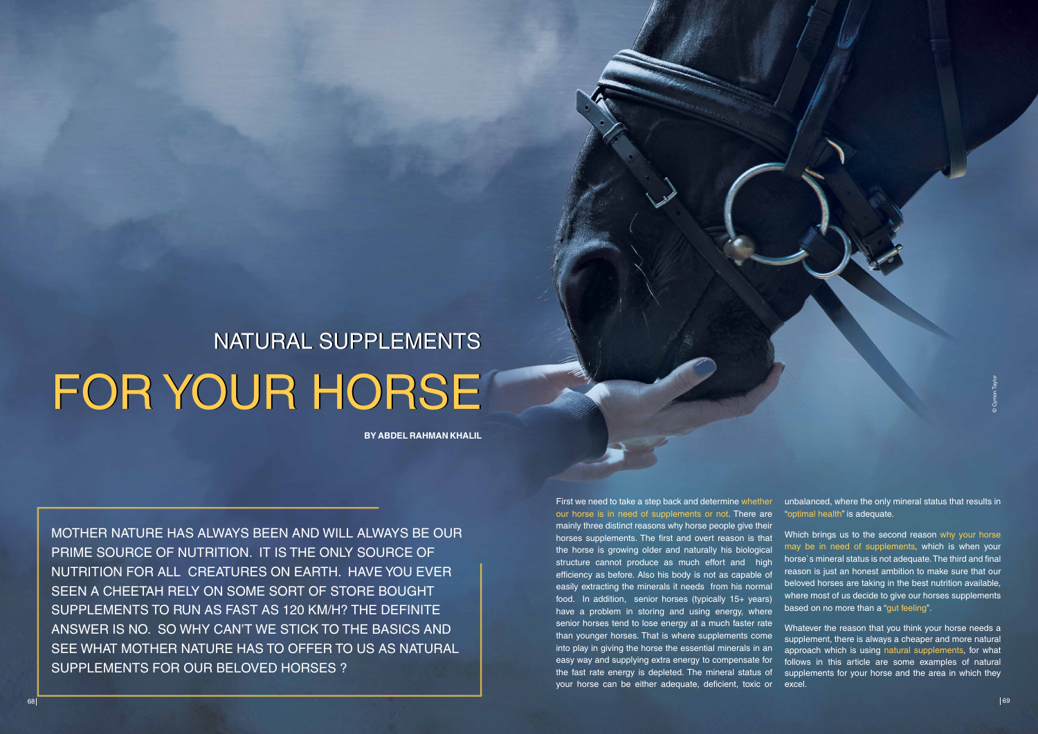First we need to take a step back and determine whether our horse is in need of supplements or not. There are mainly three distinct reasons why horse people give their horses supplements. The first and overt reason is that the horse is growing older and naturally his biological structure cannot produce as much effort and high efficiency as before. Also his body is not as capable of easily extracting the minerals it needs from his normal food. In addition, senior horses (typically 15+ years) have a problem in storing and using energy, where senior horses tend to lose energy at a much faster rate than younger horses. That is where supplements come into play in giving the horse the essential minerals in an easy way and supplying extra energy to compensate for the fast rate energy is depleted. The mineral status of your horse can be either adequate, deficient, toxic or



Which brings us to the second reason why your horse may be in need of supplements, which is when your horse`s mineral status is not adequate. The third and final reason is just an honest ambition to make sure that our beloved horses are taking in the best nutrition available, where most of us decide to give our horses supplements based on no more than a "gut feeling".

MOTHER NATURE HAS ALWAYS BEEN AND WILL ALWAYS BE OUR PRIME SOURCE OF NUTRITION. IT IS THE ONLY SOURCE OF NUTRITION FOR ALL CREATURES ON EARTH. HAVE YOU EVER SEEN A CHEETAH RELY ON SOME SORT OF STORE BOUGHT SUPPLEMENTS TO RUN AS FAST AS 120 KM/H? THE DEFINITE ANSWER IS NO. SO WHY CAN'T WE STICK TO THE BASICS AND SEE WHAT MOTHER NATURE HAS TO OFFER TO US AS NATURAL SUPPLEMENTS FOR OUR BELOVED HORSES ? FOR YOUR HORSE N<br>
E<br>
SYABOR NATURE HAS ALWAYS BEEN AND WILL ALWAYS BE OUR<br>
PRIME SOURCE OF NUTHITION IT IS THE ONLY SOURCE OF<br>
NUTHITION FOR ALL CREATURES ON EARTH. HAVE YOU EVER<br>
SEEN A CHEEKT HERE SON EXAPTING TO SOURCE

# FOR YOUR HORSE **NATURAL SUPPLEMENTS**

**By ABDEL RAHMAN KHALIL**

unbalanced, where the only mineral status that results in "optimal health" is adequate.

Whatever the reason that you think your horse needs a supplement, there is always a cheaper and more natural approach which is using natural supplements, for what follows in this article are some examples of natural supplements for your horse and the area in which they excel.